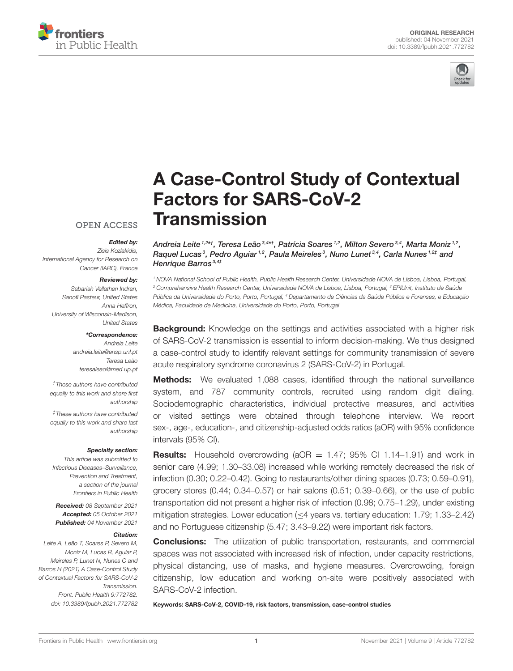



# [A Case-Control Study of Contextual](https://www.frontiersin.org/articles/10.3389/fpubh.2021.772782/full) Factors for SARS-CoV-2 **Transmission**

## **OPEN ACCESS**

#### Edited by:

Zisis Kozlakidis, International Agency for Research on Cancer (IARC), France

#### Reviewed by:

Sabarish Vellatheri Indran, Sanofi Pasteur, United States Anna Heffron, University of Wisconsin-Madison, United States

#### \*Correspondence:

Andreia Leite [andreia.leite@ensp.unl.pt](mailto:andreia.leite@ensp.unl.pt) Teresa Leão [teresaleao@med.up.pt](mailto:teresaleao@med.up.pt)

†These authors have contributed equally to this work and share first authorship

‡These authors have contributed equally to this work and share last authorship

#### Specialty section:

This article was submitted to Infectious Diseases–Surveillance, Prevention and Treatment, a section of the journal Frontiers in Public Health

Received: 08 September 2021 Accepted: 05 October 2021 Published: 04 November 2021

#### Citation:

Leite A, Leão T, Soares P, Severo M, Moniz M, Lucas R, Aguiar P, Meireles P, Lunet N, Nunes C and Barros H (2021) A Case-Control Study of Contextual Factors for SARS-CoV-2 Transmission. Front. Public Health 9:772782. doi: [10.3389/fpubh.2021.772782](https://doi.org/10.3389/fpubh.2021.772782)

Andreia Leite 1,2\*†, Teresa Leão 3,4\*†, Patrícia Soares 1,2, Milton Severo 3,4, Marta Moniz 1,2, Raquel Lucas<sup>3</sup>, Pedro Aguiar<sup>1,2</sup>, Paula Meireles<sup>3</sup>, Nuno Lunet<sup>3,4</sup>, Carla Nunes<sup>1,2‡</sup> and Henrique Barros<sup>3,4‡</sup>

<sup>1</sup> NOVA National School of Public Health, Public Health Research Center, Universidade NOVA de Lisboa, Lisboa, Portugal, <sup>2</sup> Comprehensive Health Research Center, Universidade NOVA de Lisboa, Lisboa, Portugal, <sup>3</sup> EPIUnit, Instituto de Saúde Pública da Universidade do Porto, Porto, Portugal, <sup>4</sup> Departamento de Ciências da Saúde Pública e Forenses, e Educação Médica, Faculdade de Medicina, Universidade do Porto, Porto, Portugal

**Background:** Knowledge on the settings and activities associated with a higher risk of SARS-CoV-2 transmission is essential to inform decision-making. We thus designed a case-control study to identify relevant settings for community transmission of severe acute respiratory syndrome coronavirus 2 (SARS-CoV-2) in Portugal.

**Methods:** We evaluated 1,088 cases, identified through the national surveillance system, and 787 community controls, recruited using random digit dialing. Sociodemographic characteristics, individual protective measures, and activities or visited settings were obtained through telephone interview. We report sex-, age-, education-, and citizenship-adjusted odds ratios (aOR) with 95% confidence intervals (95% CI).

**Results:** Household overcrowding ( $aOR = 1.47$ ; 95% CI 1.14-1.91) and work in senior care (4.99; 1.30–33.08) increased while working remotely decreased the risk of infection (0.30; 0.22–0.42). Going to restaurants/other dining spaces (0.73; 0.59–0.91), grocery stores (0.44; 0.34–0.57) or hair salons (0.51; 0.39–0.66), or the use of public transportation did not present a higher risk of infection (0.98; 0.75–1.29), under existing mitigation strategies. Lower education (≤4 years vs. tertiary education: 1.79; 1.33–2.42) and no Portuguese citizenship (5.47; 3.43–9.22) were important risk factors.

**Conclusions:** The utilization of public transportation, restaurants, and commercial spaces was not associated with increased risk of infection, under capacity restrictions, physical distancing, use of masks, and hygiene measures. Overcrowding, foreign citizenship, low education and working on-site were positively associated with SARS-CoV-2 infection.

Keywords: SARS-CoV-2, COVID-19, risk factors, transmission, case-control studies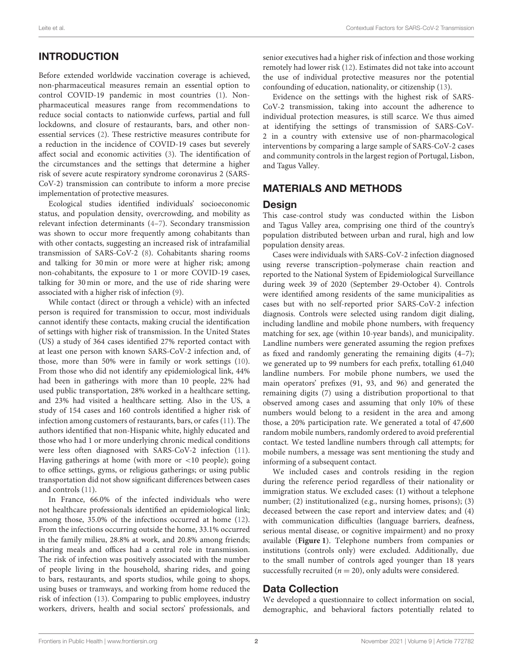# INTRODUCTION

Before extended worldwide vaccination coverage is achieved, non-pharmaceutical measures remain an essential option to control COVID-19 pandemic in most countries [\(1\)](#page-8-0). Nonpharmaceutical measures range from recommendations to reduce social contacts to nationwide curfews, partial and full lockdowns, and closure of restaurants, bars, and other nonessential services [\(2\)](#page-8-1). These restrictive measures contribute for a reduction in the incidence of COVID-19 cases but severely affect social and economic activities [\(3\)](#page-8-2). The identification of the circumstances and the settings that determine a higher risk of severe acute respiratory syndrome coronavirus 2 (SARS-CoV-2) transmission can contribute to inform a more precise implementation of protective measures.

Ecological studies identified individuals' socioeconomic status, and population density, overcrowding, and mobility as relevant infection determinants [\(4](#page-8-3)[–7\)](#page-8-4). Secondary transmission was shown to occur more frequently among cohabitants than with other contacts, suggesting an increased risk of intrafamilial transmission of SARS-CoV-2 [\(8\)](#page-8-5). Cohabitants sharing rooms and talking for 30 min or more were at higher risk; among non-cohabitants, the exposure to 1 or more COVID-19 cases, talking for 30 min or more, and the use of ride sharing were associated with a higher risk of infection [\(9\)](#page-8-6).

While contact (direct or through a vehicle) with an infected person is required for transmission to occur, most individuals cannot identify these contacts, making crucial the identification of settings with higher risk of transmission. In the United States (US) a study of 364 cases identified 27% reported contact with at least one person with known SARS-CoV-2 infection and, of those, more than 50% were in family or work settings [\(10\)](#page-8-7). From those who did not identify any epidemiological link, 44% had been in gatherings with more than 10 people, 22% had used public transportation, 28% worked in a healthcare setting, and 23% had visited a healthcare setting. Also in the US, a study of 154 cases and 160 controls identified a higher risk of infection among customers of restaurants, bars, or cafes [\(11\)](#page-8-8). The authors identified that non-Hispanic white, highly educated and those who had 1 or more underlying chronic medical conditions were less often diagnosed with SARS-CoV-2 infection [\(11\)](#page-8-8). Having gatherings at home (with more or  $\langle 10 \rangle$  people); going to office settings, gyms, or religious gatherings; or using public transportation did not show significant differences between cases and controls [\(11\)](#page-8-8).

In France, 66.0% of the infected individuals who were not healthcare professionals identified an epidemiological link; among those, 35.0% of the infections occurred at home [\(12\)](#page-8-9). From the infections occurring outside the home, 33.1% occurred in the family milieu, 28.8% at work, and 20.8% among friends; sharing meals and offices had a central role in transmission. The risk of infection was positively associated with the number of people living in the household, sharing rides, and going to bars, restaurants, and sports studios, while going to shops, using buses or tramways, and working from home reduced the risk of infection [\(13\)](#page-8-10). Comparing to public employees, industry workers, drivers, health and social sectors' professionals, and senior executives had a higher risk of infection and those working remotely had lower risk [\(12\)](#page-8-9). Estimates did not take into account the use of individual protective measures nor the potential confounding of education, nationality, or citizenship [\(13\)](#page-8-10).

Evidence on the settings with the highest risk of SARS-CoV-2 transmission, taking into account the adherence to individual protection measures, is still scarce. We thus aimed at identifying the settings of transmission of SARS-CoV-2 in a country with extensive use of non-pharmacological interventions by comparing a large sample of SARS-CoV-2 cases and community controls in the largest region of Portugal, Lisbon, and Tagus Valley.

# MATERIALS AND METHODS

### **Design**

This case-control study was conducted within the Lisbon and Tagus Valley area, comprising one third of the country's population distributed between urban and rural, high and low population density areas.

Cases were individuals with SARS-CoV-2 infection diagnosed using reverse transcription–polymerase chain reaction and reported to the National System of Epidemiological Surveillance during week 39 of 2020 (September 29-October 4). Controls were identified among residents of the same municipalities as cases but with no self-reported prior SARS-CoV-2 infection diagnosis. Controls were selected using random digit dialing, including landline and mobile phone numbers, with frequency matching for sex, age (within 10-year bands), and municipality. Landline numbers were generated assuming the region prefixes as fixed and randomly generating the remaining digits (4–7); we generated up to 99 numbers for each prefix, totalling 61,040 landline numbers. For mobile phone numbers, we used the main operators' prefixes (91, 93, and 96) and generated the remaining digits (7) using a distribution proportional to that observed among cases and assuming that only 10% of these numbers would belong to a resident in the area and among those, a 20% participation rate. We generated a total of 47,600 random mobile numbers, randomly ordered to avoid preferential contact. We tested landline numbers through call attempts; for mobile numbers, a message was sent mentioning the study and informing of a subsequent contact.

We included cases and controls residing in the region during the reference period regardless of their nationality or immigration status. We excluded cases: (1) without a telephone number; (2) institutionalized (e.g., nursing homes, prisons); (3) deceased between the case report and interview dates; and (4) with communication difficulties (language barriers, deafness, serious mental disease, or cognitive impairment) and no proxy available (**[Figure 1](#page-2-0)**). Telephone numbers from companies or institutions (controls only) were excluded. Additionally, due to the small number of controls aged younger than 18 years successfully recruited ( $n = 20$ ), only adults were considered.

## Data Collection

We developed a questionnaire to collect information on social, demographic, and behavioral factors potentially related to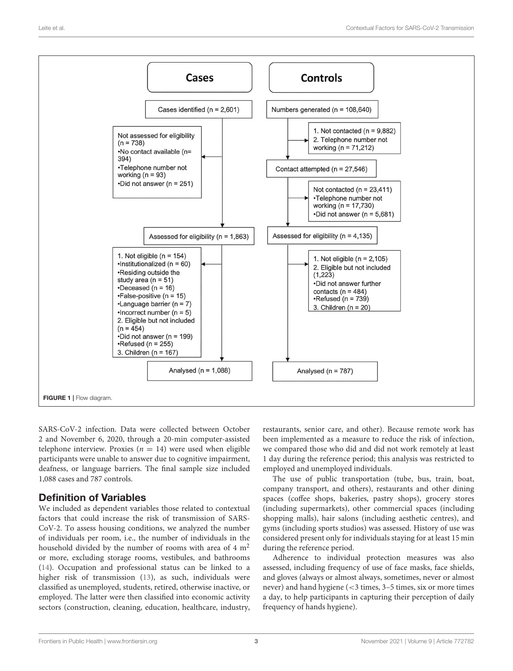

<span id="page-2-0"></span>SARS-CoV-2 infection. Data were collected between October 2 and November 6, 2020, through a 20-min computer-assisted telephone interview. Proxies ( $n = 14$ ) were used when eligible participants were unable to answer due to cognitive impairment, deafness, or language barriers. The final sample size included 1,088 cases and 787 controls.

# Definition of Variables

We included as dependent variables those related to contextual factors that could increase the risk of transmission of SARS-CoV-2. To assess housing conditions, we analyzed the number of individuals per room, i.e., the number of individuals in the household divided by the number of rooms with area of  $4 \text{ m}^2$ or more, excluding storage rooms, vestibules, and bathrooms [\(14\)](#page-8-11). Occupation and professional status can be linked to a higher risk of transmission [\(13\)](#page-8-10), as such, individuals were classified as unemployed, students, retired, otherwise inactive, or employed. The latter were then classified into economic activity sectors (construction, cleaning, education, healthcare, industry, restaurants, senior care, and other). Because remote work has been implemented as a measure to reduce the risk of infection, we compared those who did and did not work remotely at least 1 day during the reference period; this analysis was restricted to employed and unemployed individuals.

The use of public transportation (tube, bus, train, boat, company transport, and others), restaurants and other dining spaces (coffee shops, bakeries, pastry shops), grocery stores (including supermarkets), other commercial spaces (including shopping malls), hair salons (including aesthetic centres), and gyms (including sports studios) was assessed. History of use was considered present only for individuals staying for at least 15 min during the reference period.

Adherence to individual protection measures was also assessed, including frequency of use of face masks, face shields, and gloves (always or almost always, sometimes, never or almost never) and hand hygiene (<3 times, 3–5 times, six or more times a day, to help participants in capturing their perception of daily frequency of hands hygiene).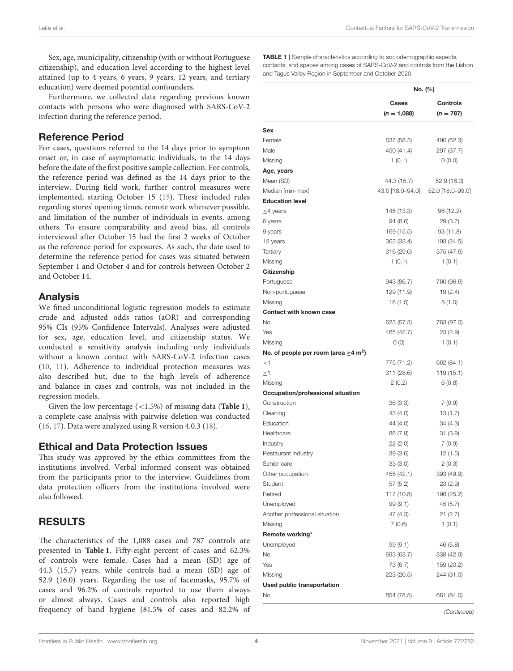Sex, age, municipality, citizenship (with or without Portuguese citizenship), and education level according to the highest level attained (up to 4 years, 6 years, 9 years, 12 years, and tertiary education) were deemed potential confounders.

Furthermore, we collected data regarding previous known contacts with persons who were diagnosed with SARS-CoV-2 infection during the reference period.

#### Reference Period

For cases, questions referred to the 14 days prior to symptom onset or, in case of asymptomatic individuals, to the 14 days before the date of the first positive sample collection. For controls, the reference period was defined as the 14 days prior to the interview. During field work, further control measures were implemented, starting October 15 [\(15\)](#page-8-12). These included rules regarding stores' opening times, remote work whenever possible, and limitation of the number of individuals in events, among others. To ensure comparability and avoid bias, all controls interviewed after October 15 had the first 2 weeks of October as the reference period for exposures. As such, the date used to determine the reference period for cases was situated between September 1 and October 4 and for controls between October 2 and October 14.

#### Analysis

We fitted unconditional logistic regression models to estimate crude and adjusted odds ratios (aOR) and corresponding 95% CIs (95% Confidence Intervals). Analyses were adjusted for sex, age, education level, and citizenship status. We conducted a sensitivity analysis including only individuals without a known contact with SARS-CoV-2 infection cases [\(10,](#page-8-7) [11\)](#page-8-8). Adherence to individual protection measures was also described but, due to the high levels of adherence and balance in cases and controls, was not included in the regression models.

Given the low percentage (<1.5%) of missing data (**[Table 1](#page-3-0)**), a complete case analysis with pairwise deletion was conducted [\(16,](#page-8-13) [17\)](#page-8-14). Data were analyzed using R version 4.0.3 [\(18\)](#page-8-15).

#### Ethical and Data Protection Issues

This study was approved by the ethics committees from the institutions involved. Verbal informed consent was obtained from the participants prior to the interview. Guidelines from data protection officers from the institutions involved were also followed.

# RESULTS

The characteristics of the 1,088 cases and 787 controls are presented in **[Table 1](#page-3-0)**. Fifty-eight percent of cases and 62.3% of controls were female. Cases had a mean (SD) age of 44.3 (15.7) years, while controls had a mean (SD) age of 52.9 (16.0) years. Regarding the use of facemasks, 95.7% of cases and 96.2% of controls reported to use them always or almost always. Cases and controls also reported high frequency of hand hygiene (81.5% of cases and 82.2% of

<span id="page-3-0"></span>TABLE 1 | Sample characteristics according to sociodemographic aspects, contacts, and spaces among cases of SARS-CoV-2 and controls from the Lisbon and Tagus Valley Region in September and October 2020.

|                                                        | No. (%)          |                  |  |
|--------------------------------------------------------|------------------|------------------|--|
|                                                        | Cases            | <b>Controls</b>  |  |
|                                                        | $(n = 1,088)$    | $(n = 787)$      |  |
| Sex                                                    |                  |                  |  |
| Female                                                 | 637 (58.5)       | 490 (62.3)       |  |
| Male                                                   | 450 (41.4)       | 297 (37.7)       |  |
| Missing                                                | 1(0.1)           | (0.0)            |  |
| Age, years                                             |                  |                  |  |
| Mean (SD)                                              | 44.3 (15.7)      | 52.9 (16.0)      |  |
| Median [min-max]                                       | 43.0 [18.0-94.0] | 52.0 [18.0-99.0] |  |
| <b>Education level</b>                                 |                  |                  |  |
| $\leq$ 4 years                                         | 145 (13.3)       | 96 (12.2)        |  |
| 6 years                                                | 94 (8.6)         | 29 (3.7)         |  |
| 9 years                                                | 169 (15.5)       | 93 (11.8)        |  |
| 12 years                                               | 363 (33.4)       | 193 (24.5)       |  |
| Tertiary                                               | 316 (29.0)       | 375 (47.6)       |  |
| Missing                                                | 1(0.1)           | 1(0.1)           |  |
| Citizenship                                            |                  |                  |  |
| Portuguese                                             | 943 (86.7)       | 760 (96.6)       |  |
| Non-portuguese                                         | 129 (11.9)       | 19(2.4)          |  |
| Missing                                                | 16 (1.5)         | (0.1)8           |  |
| <b>Contact with known case</b>                         |                  |                  |  |
| No                                                     | 623 (57.3)       | 763 (97.0)       |  |
| Yes                                                    | 465 (42.7)       | 23 (2.9)         |  |
| Missing                                                | O(0)             | 1(0.1)           |  |
| No. of people per room (area $\geq$ 4 m <sup>2</sup> ) |                  |                  |  |
| ${<}1$                                                 | 775 (71.2)       | 662 (84.1)       |  |
| ≥1                                                     | 311 (28.6)       | 119 (15.1)       |  |
| Missing                                                | 2(0.2)           | 6(0.8)           |  |
| Occupation/professional situation                      |                  |                  |  |
| Construction                                           | 36 (3.3)         | 7(0.9)           |  |
| Cleaning                                               | 43 (4.0)         | 13 (1.7)         |  |
| Education                                              | 44 (4.0)         | 34 (4.3)         |  |
| Healthcare                                             | 86 (7.9)         | 31(3.9)          |  |
| Industry                                               | 22(2.0)          | 7(0.9)           |  |
| Restaurant industry                                    | 39(3.6)          | 12 (1.5)         |  |
| Senior care                                            | 33(3.0)          | 2(0.3)           |  |
| Other occupation                                       | 458 (42.1)       | 393 (49.9)       |  |
| Student                                                | 57 (5.2)         | 23 (2.9)         |  |
| Retired                                                | 117 (10.8)       | 198 (25.2)       |  |
| Unemployed                                             | 99(9.1)          | 45 (5.7)         |  |
| Another professional situation                         | 47 (4.3)         | 21(2.7)          |  |
| Missing                                                | 7(0.6)           | 1(0.1)           |  |
| Remote working*                                        |                  |                  |  |
| Unemployed                                             | 99 (9.1)         | 46(5.8)          |  |
| No                                                     | 693 (63.7)       | 338 (42.9)       |  |
| Yes                                                    | 73 (6.7)         | 159 (20.2)       |  |
| Missing                                                | 223 (20.5)       | 244 (31.0)       |  |
| Used public transportation                             |                  |                  |  |
| No                                                     | 854 (78.5)       | 661 (84.0)       |  |

(Continued)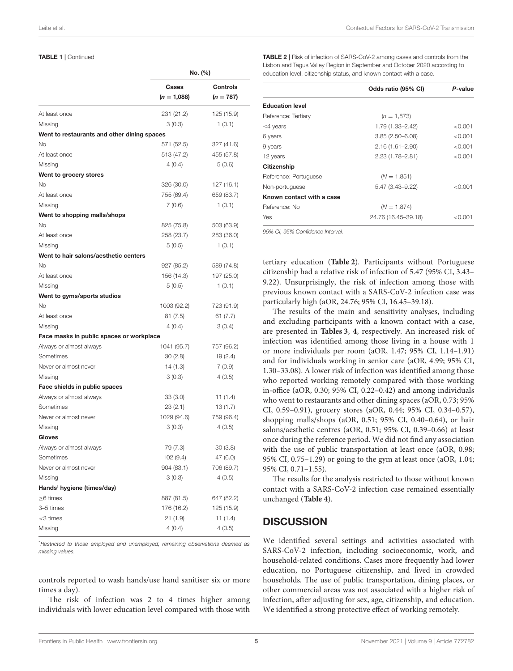#### TABLE 1 | Continued

|                                             | No. (%)       |                 |  |
|---------------------------------------------|---------------|-----------------|--|
|                                             | Cases         | <b>Controls</b> |  |
|                                             | $(n = 1,088)$ | $(n = 787)$     |  |
| At least once                               | 231 (21.2)    | 125 (15.9)      |  |
| Missing                                     | 3(0.3)        | 1(0.1)          |  |
| Went to restaurants and other dining spaces |               |                 |  |
| No                                          | 571 (52.5)    | 327 (41.6)      |  |
| At least once                               | 513 (47.2)    | 455 (57.8)      |  |
| Missing                                     | 4(0.4)        | 5(0.6)          |  |
| Went to grocery stores                      |               |                 |  |
| No                                          | 326 (30.0)    | 127 (16.1)      |  |
| At least once                               | 755 (69.4)    | 659 (83.7)      |  |
| Missing                                     | 7(0.6)        | 1(0.1)          |  |
| Went to shopping malls/shops                |               |                 |  |
| No                                          | 825 (75.8)    | 503 (63.9)      |  |
| At least once                               | 258 (23.7)    | 283 (36.0)      |  |
| Missing                                     | 5(0.5)        | 1(0.1)          |  |
| Went to hair salons/aesthetic centers       |               |                 |  |
| <b>No</b>                                   | 927 (85.2)    | 589 (74.8)      |  |
| At least once                               | 156 (14.3)    | 197 (25.0)      |  |
| Missing                                     | 5(0.5)        | 1(0.1)          |  |
| Went to gyms/sports studios                 |               |                 |  |
| No                                          | 1003 (92.2)   | 723 (91.9)      |  |
| At least once                               | 81 (7.5)      | 61(7.7)         |  |
| Missing                                     | 4(0.4)        | 3(0.4)          |  |
| Face masks in public spaces or workplace    |               |                 |  |
| Always or almost always                     | 1041 (95.7)   | 757 (96.2)      |  |
| Sometimes                                   | 30(2.8)       | 19 (2.4)        |  |
| Never or almost never                       | 14 (1.3)      | 7(0.9)          |  |
| Missing                                     | 3(0.3)        | 4(0.5)          |  |
| Face shields in public spaces               |               |                 |  |
| Always or almost always                     | 33 (3.0)      | 11(1.4)         |  |
| Sometimes                                   | 23 (2.1)      | 13(1.7)         |  |
| Never or almost never                       | 1029 (94.6)   | 759 (96.4)      |  |
| Missing                                     | 3(0.3)        | 4(0.5)          |  |
| Gloves                                      |               |                 |  |
| Always or almost always                     | 79 (7.3)      | 30(3.8)         |  |
| Sometimes                                   | 102 (9.4)     | 47 (6.0)        |  |
| Never or almost never                       | 904 (83.1)    | 706 (89.7)      |  |
| Missing                                     | 3(0.3)        | 4 (0.5)         |  |
| Hands' hygiene (times/day)                  |               |                 |  |
| >6 times                                    | 887 (81.5)    | 647 (82.2)      |  |
| 3-5 times                                   | 176 (16.2)    | 125 (15.9)      |  |
| <3 times                                    | 21 (1.9)      | 11(1.4)         |  |
| Missing                                     | 4(0.4)        | 4(0.5)          |  |

\*Restricted to those employed and unemployed, remaining observations deemed as missing values.

controls reported to wash hands/use hand sanitiser six or more times a day).

The risk of infection was 2 to 4 times higher among individuals with lower education level compared with those with <span id="page-4-0"></span>TABLE 2 | Risk of infection of SARS-CoV-2 among cases and controls from the Lisbon and Tagus Valley Region in September and October 2020 according to education level, citizenship status, and known contact with a case.

|                           | Odds ratio (95% CI) | P-value |
|---------------------------|---------------------|---------|
| <b>Education level</b>    |                     |         |
| Reference: Tertiary       | $(n = 1.873)$       |         |
| $<$ 4 years               | 1.79 (1.33-2.42)    | < 0.001 |
| 6 years                   | $3.85(2.50 - 6.08)$ | < 0.001 |
| 9 years                   | $2.16(1.61 - 2.90)$ | < 0.001 |
| 12 years                  | $2.23(1.78 - 2.81)$ | < 0.001 |
| Citizenship               |                     |         |
| Reference: Portuguese     | $(N = 1,851)$       |         |
| Non-portuguese            | $5.47(3.43 - 9.22)$ | < 0.001 |
| Known contact with a case |                     |         |
| Reference: No             | $(N = 1,874)$       |         |
| Yes                       | 24.76 (16.45-39.18) | < 0.001 |

95% CI, 95% Confidence Interval.

tertiary education (**[Table 2](#page-4-0)**). Participants without Portuguese citizenship had a relative risk of infection of 5.47 (95% CI, 3.43– 9.22). Unsurprisingly, the risk of infection among those with previous known contact with a SARS-CoV-2 infection case was particularly high (aOR, 24.76; 95% CI, 16.45–39.18).

The results of the main and sensitivity analyses, including and excluding participants with a known contact with a case, are presented in **[Tables 3](#page-5-0)**, **[4](#page-6-0)**, respectively. An increased risk of infection was identified among those living in a house with 1 or more individuals per room (aOR, 1.47; 95% CI, 1.14–1.91) and for individuals working in senior care (aOR, 4.99; 95% CI, 1.30–33.08). A lower risk of infection was identified among those who reported working remotely compared with those working in-office (aOR, 0.30; 95% CI, 0.22–0.42) and among individuals who went to restaurants and other dining spaces (aOR, 0.73; 95% CI, 0.59–0.91), grocery stores (aOR, 0.44; 95% CI, 0.34–0.57), shopping malls/shops (aOR, 0.51; 95% CI, 0.40–0.64), or hair salons/aesthetic centres (aOR, 0.51; 95% CI, 0.39–0.66) at least once during the reference period. We did not find any association with the use of public transportation at least once (aOR, 0.98; 95% CI, 0.75–1.29) or going to the gym at least once (aOR, 1.04; 95% CI, 0.71–1.55).

The results for the analysis restricted to those without known contact with a SARS-CoV-2 infection case remained essentially unchanged (**[Table 4](#page-6-0)**).

## **DISCUSSION**

We identified several settings and activities associated with SARS-CoV-2 infection, including socioeconomic, work, and household-related conditions. Cases more frequently had lower education, no Portuguese citizenship, and lived in crowded households. The use of public transportation, dining places, or other commercial areas was not associated with a higher risk of infection, after adjusting for sex, age, citizenship, and education. We identified a strong protective effect of working remotely.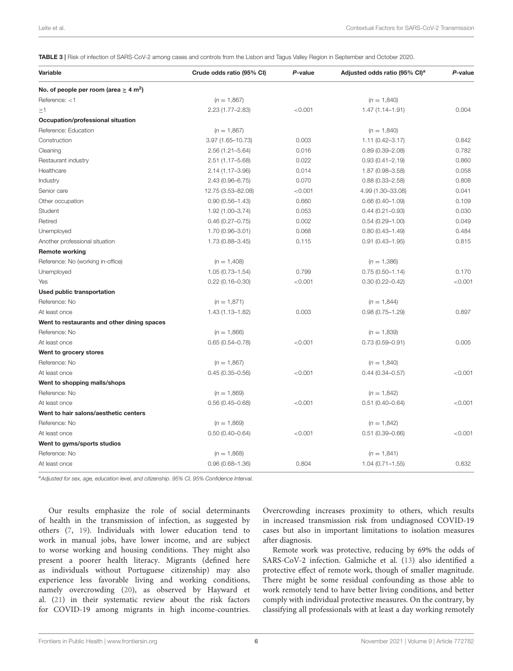<span id="page-5-0"></span>TABLE 3 | Risk of infection of SARS-CoV-2 among cases and controls from the Lisbon and Tagus Valley Region in September and October 2020.

| Variable                                               | Crude odds ratio (95% CI) | P-value | Adjusted odds ratio (95% CI) <sup>a</sup> | P-value |
|--------------------------------------------------------|---------------------------|---------|-------------------------------------------|---------|
| No. of people per room (area $\geq 4$ m <sup>2</sup> ) |                           |         |                                           |         |
| Reference: $<$ 1                                       | $(n = 1,867)$             |         | $(n = 1,840)$                             |         |
| >1                                                     | 2.23 (1.77-2.83)          | < 0.001 | $1.47(1.14 - 1.91)$                       | 0.004   |
| Occupation/professional situation                      |                           |         |                                           |         |
| Reference: Education                                   | $(n = 1,867)$             |         | $(n = 1,840)$                             |         |
| Construction                                           | 3.97 (1.65-10.73)         | 0.003   | $1.11(0.42 - 3.17)$                       | 0.842   |
| Cleaning                                               | 2.56 (1.21-5.64)          | 0.016   | $0.89(0.39 - 2.08)$                       | 0.782   |
| Restaurant industry                                    | 2.51 (1.17-5.68)          | 0.022   | $0.93(0.41 - 2.19)$                       | 0.860   |
| Healthcare                                             | 2.14 (1.17-3.96)          | 0.014   | 1.87 (0.98-3.58)                          | 0.058   |
| Industry                                               | 2.43 (0.96-6.75)          | 0.070   | $0.88(0.33 - 2.58)$                       | 0.808   |
| Senior care                                            | 12.75 (3.53-82.08)        | < 0.001 | 4.99 (1.30-33.08)                         | 0.041   |
| Other occupation                                       | $0.90(0.56 - 1.43)$       | 0.660   | $0.66(0.40 - 1.09)$                       | 0.109   |
| Student                                                | 1.92 (1.00-3.74)          | 0.053   | $0.44(0.21 - 0.93)$                       | 0.030   |
| Retired                                                | $0.46(0.27 - 0.75)$       | 0.002   | $0.54(0.29 - 1.00)$                       | 0.049   |
| Unemployed                                             | 1.70 (0.96-3.01)          | 0.068   | $0.80(0.43 - 1.49)$                       | 0.484   |
| Another professional situation                         | 1.73 (0.88-3.45)          | 0.115   | $0.91(0.43 - 1.95)$                       | 0.815   |
| <b>Remote working</b>                                  |                           |         |                                           |         |
| Reference: No (working in-office)                      | $(n = 1,408)$             |         | $(n = 1,386)$                             |         |
| Unemployed                                             | $1.05(0.73 - 1.54)$       | 0.799   | $0.75(0.50 - 1.14)$                       | 0.170   |
| Yes                                                    | $0.22(0.16 - 0.30)$       | < 0.001 | $0.30(0.22 - 0.42)$                       | < 0.001 |
| Used public transportation                             |                           |         |                                           |         |
| Reference: No                                          | $(n = 1,871)$             |         | $(n = 1,844)$                             |         |
| At least once                                          | 1.43 (1.13-1.82)          | 0.003   | $0.98(0.75 - 1.29)$                       | 0.897   |
| Went to restaurants and other dining spaces            |                           |         |                                           |         |
| Reference: No                                          | $(n = 1,866)$             |         | $(n = 1,839)$                             |         |
| At least once                                          | $0.65(0.54 - 0.78)$       | < 0.001 | $0.73(0.59 - 0.91)$                       | 0.005   |
| Went to grocery stores                                 |                           |         |                                           |         |
| Reference: No                                          | $(n = 1,867)$             |         | $(n = 1,840)$                             |         |
| At least once                                          | $0.45(0.35 - 0.56)$       | < 0.001 | $0.44(0.34 - 0.57)$                       | < 0.001 |
| Went to shopping malls/shops                           |                           |         |                                           |         |
| Reference: No                                          | $(n = 1,869)$             |         | $(n = 1,842)$                             |         |
| At least once                                          | $0.56(0.45 - 0.68)$       | < 0.001 | $0.51(0.40 - 0.64)$                       | < 0.001 |
| Went to hair salons/aesthetic centers                  |                           |         |                                           |         |
| Reference: No                                          | $(n = 1,869)$             |         | $(n = 1,842)$                             |         |
| At least once                                          | $0.50(0.40 - 0.64)$       | < 0.001 | $0.51(0.39 - 0.66)$                       | < 0.001 |
| Went to gyms/sports studios                            |                           |         |                                           |         |
| Reference: No                                          | $(n = 1,868)$             |         | $(n = 1,841)$                             |         |
| At least once                                          | $0.96(0.68 - 1.36)$       | 0.804   | $1.04(0.71 - 1.55)$                       | 0.832   |

aAdjusted for sex, age, education level, and citizenship. 95% CI, 95% Confidence Interval.

Our results emphasize the role of social determinants of health in the transmission of infection, as suggested by others [\(7,](#page-8-4) [19\)](#page-8-16). Individuals with lower education tend to work in manual jobs, have lower income, and are subject to worse working and housing conditions. They might also present a poorer health literacy. Migrants (defined here as individuals without Portuguese citizenship) may also experience less favorable living and working conditions, namely overcrowding [\(20\)](#page-8-17), as observed by Hayward et al. [\(21\)](#page-8-18) in their systematic review about the risk factors for COVID-19 among migrants in high income-countries. Overcrowding increases proximity to others, which results in increased transmission risk from undiagnosed COVID-19 cases but also in important limitations to isolation measures after diagnosis.

Remote work was protective, reducing by 69% the odds of SARS-CoV-2 infection. Galmiche et al. [\(13\)](#page-8-10) also identified a protective effect of remote work, though of smaller magnitude. There might be some residual confounding as those able to work remotely tend to have better living conditions, and better comply with individual protective measures. On the contrary, by classifying all professionals with at least a day working remotely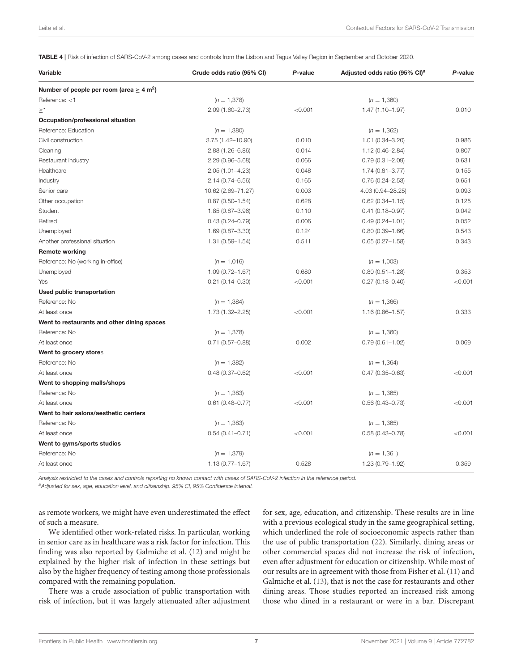<span id="page-6-0"></span>TABLE 4 | Risk of infection of SARS-CoV-2 among cases and controls from the Lisbon and Tagus Valley Region in September and October 2020.

| Variable                                                  | Crude odds ratio (95% CI) | P-value | Adjusted odds ratio (95% CI) <sup>a</sup> | P-value |
|-----------------------------------------------------------|---------------------------|---------|-------------------------------------------|---------|
| Number of people per room (area $\geq 4$ m <sup>2</sup> ) |                           |         |                                           |         |
| Reference: $<$ 1                                          | $(n = 1,378)$             |         | $(n = 1,360)$                             |         |
| $\geq$ 1                                                  | 2.09 (1.60-2.73)          | < 0.001 | $1.47(1.10 - 1.97)$                       | 0.010   |
| Occupation/professional situation                         |                           |         |                                           |         |
| Reference: Education                                      | $(n = 1,380)$             |         | $(n = 1,362)$                             |         |
| Civil construction                                        | 3.75 (1.42-10.90)         | 0.010   | $1.01(0.34 - 3.20)$                       | 0.986   |
| Cleaning                                                  | 2.88 (1.26-6.86)          | 0.014   | $1.12(0.46 - 2.84)$                       | 0.807   |
| Restaurant industry                                       | 2.29 (0.96-5.68)          | 0.066   | $0.79(0.31 - 2.09)$                       | 0.631   |
| Healthcare                                                | $2.05(1.01 - 4.23)$       | 0.048   | $1.74(0.81 - 3.77)$                       | 0.155   |
| Industry                                                  | 2.14 (0.74-6.56)          | 0.165   | $0.76(0.24 - 2.53)$                       | 0.651   |
| Senior care                                               | 10.62 (2.69-71.27)        | 0.003   | 4.03 (0.94-28.25)                         | 0.093   |
| Other occupation                                          | $0.87(0.50 - 1.54)$       | 0.628   | $0.62(0.34 - 1.15)$                       | 0.125   |
| Student                                                   | 1.85 (0.87-3.96)          | 0.110   | $0.41(0.18 - 0.97)$                       | 0.042   |
| Retired                                                   | $0.43(0.24 - 0.79)$       | 0.006   | $0.49(0.24 - 1.01)$                       | 0.052   |
| Unemployed                                                | 1.69 (0.87-3.30)          | 0.124   | $0.80(0.39 - 1.66)$                       | 0.543   |
| Another professional situation                            | 1.31 (0.59-1.54)          | 0.511   | $0.65(0.27 - 1.58)$                       | 0.343   |
| <b>Remote working</b>                                     |                           |         |                                           |         |
| Reference: No (working in-office)                         | $(n = 1,016)$             |         | $(n = 1,003)$                             |         |
| Unemployed                                                | $1.09(0.72 - 1.67)$       | 0.680   | $0.80(0.51 - 1.28)$                       | 0.353   |
| Yes                                                       | $0.21(0.14 - 0.30)$       | < 0.001 | $0.27(0.18 - 0.40)$                       | < 0.001 |
| Used public transportation                                |                           |         |                                           |         |
| Reference: No                                             | $(n = 1,384)$             |         | $(n = 1,366)$                             |         |
| At least once                                             | 1.73 (1.32-2.25)          | < 0.001 | $1.16(0.86 - 1.57)$                       | 0.333   |
| Went to restaurants and other dining spaces               |                           |         |                                           |         |
| Reference: No                                             | $(n = 1,378)$             |         | $(n = 1,360)$                             |         |
| At least once                                             | $0.71(0.57 - 0.88)$       | 0.002   | $0.79(0.61 - 1.02)$                       | 0.069   |
| Went to grocery stores                                    |                           |         |                                           |         |
| Reference: No                                             | $(n = 1,382)$             |         | $(n = 1,364)$                             |         |
| At least once                                             | $0.48(0.37 - 0.62)$       | < 0.001 | $0.47(0.35 - 0.63)$                       | < 0.001 |
| Went to shopping malls/shops                              |                           |         |                                           |         |
| Reference: No                                             | $(n = 1,383)$             |         | $(n = 1,365)$                             |         |
| At least once                                             | $0.61(0.48 - 0.77)$       | < 0.001 | $0.56(0.43 - 0.73)$                       | < 0.001 |
| Went to hair salons/aesthetic centers                     |                           |         |                                           |         |
| Reference: No                                             | $(n = 1,383)$             |         | $(n = 1,365)$                             |         |
| At least once                                             | $0.54(0.41 - 0.71)$       | < 0.001 | $0.58(0.43 - 0.78)$                       | < 0.001 |
| Went to gyms/sports studios                               |                           |         |                                           |         |
| Reference: No                                             | $(n = 1,379)$             |         | $(n = 1,361)$                             |         |
| At least once                                             | $1.13(0.77 - 1.67)$       | 0.528   | 1.23 (0.79-1.92)                          | 0.359   |

Analysis restricted to the cases and controls reporting no known contact with cases of SARS-CoV-2 infection in the reference period.

<sup>a</sup>Adjusted for sex, age, education level, and citizenship. 95% CI, 95% Confidence Interval.

as remote workers, we might have even underestimated the effect of such a measure.

We identified other work-related risks. In particular, working in senior care as in healthcare was a risk factor for infection. This finding was also reported by Galmiche et al. [\(12\)](#page-8-9) and might be explained by the higher risk of infection in these settings but also by the higher frequency of testing among those professionals compared with the remaining population.

There was a crude association of public transportation with risk of infection, but it was largely attenuated after adjustment for sex, age, education, and citizenship. These results are in line with a previous ecological study in the same geographical setting, which underlined the role of socioeconomic aspects rather than the use of public transportation [\(22\)](#page-8-19). Similarly, dining areas or other commercial spaces did not increase the risk of infection, even after adjustment for education or citizenship. While most of our results are in agreement with those from Fisher et al. [\(11\)](#page-8-8) and Galmiche et al. [\(13\)](#page-8-10), that is not the case for restaurants and other dining areas. Those studies reported an increased risk among those who dined in a restaurant or were in a bar. Discrepant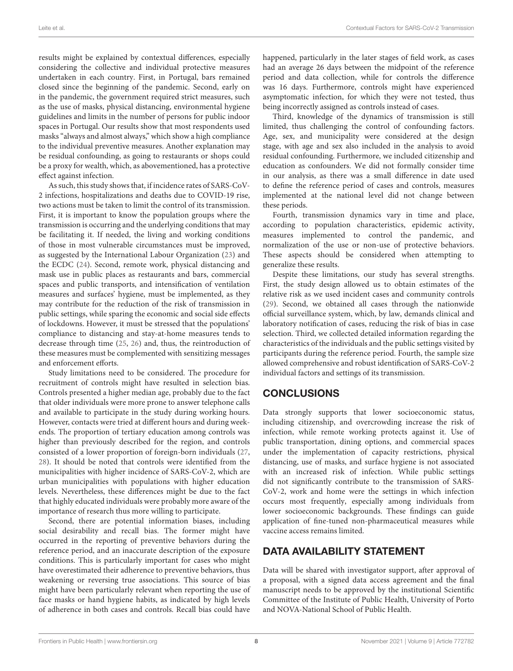results might be explained by contextual differences, especially considering the collective and individual protective measures undertaken in each country. First, in Portugal, bars remained closed since the beginning of the pandemic. Second, early on in the pandemic, the government required strict measures, such as the use of masks, physical distancing, environmental hygiene guidelines and limits in the number of persons for public indoor spaces in Portugal. Our results show that most respondents used masks "always and almost always," which show a high compliance to the individual preventive measures. Another explanation may be residual confounding, as going to restaurants or shops could be a proxy for wealth, which, as abovementioned, has a protective effect against infection.

As such, this study shows that, if incidence rates of SARS-CoV-2 infections, hospitalizations and deaths due to COVID-19 rise, two actions must be taken to limit the control of its transmission. First, it is important to know the population groups where the transmission is occurring and the underlying conditions that may be facilitating it. If needed, the living and working conditions of those in most vulnerable circumstances must be improved, as suggested by the International Labour Organization [\(23\)](#page-8-20) and the ECDC [\(24\)](#page-8-21). Second, remote work, physical distancing and mask use in public places as restaurants and bars, commercial spaces and public transports, and intensification of ventilation measures and surfaces' hygiene, must be implemented, as they may contribute for the reduction of the risk of transmission in public settings, while sparing the economic and social side effects of lockdowns. However, it must be stressed that the populations' compliance to distancing and stay-at-home measures tends to decrease through time [\(25,](#page-8-22) [26\)](#page-8-23) and, thus, the reintroduction of these measures must be complemented with sensitizing messages and enforcement efforts.

Study limitations need to be considered. The procedure for recruitment of controls might have resulted in selection bias. Controls presented a higher median age, probably due to the fact that older individuals were more prone to answer telephone calls and available to participate in the study during working hours. However, contacts were tried at different hours and during weekends. The proportion of tertiary education among controls was higher than previously described for the region, and controls consisted of a lower proportion of foreign-born individuals [\(27,](#page-8-24) [28\)](#page-9-0). It should be noted that controls were identified from the municipalities with higher incidence of SARS-CoV-2, which are urban municipalities with populations with higher education levels. Nevertheless, these differences might be due to the fact that highly educated individuals were probably more aware of the importance of research thus more willing to participate.

Second, there are potential information biases, including social desirability and recall bias. The former might have occurred in the reporting of preventive behaviors during the reference period, and an inaccurate description of the exposure conditions. This is particularly important for cases who might have overestimated their adherence to preventive behaviors, thus weakening or reversing true associations. This source of bias might have been particularly relevant when reporting the use of face masks or hand hygiene habits, as indicated by high levels of adherence in both cases and controls. Recall bias could have happened, particularly in the later stages of field work, as cases had an average 26 days between the midpoint of the reference period and data collection, while for controls the difference was 16 days. Furthermore, controls might have experienced asymptomatic infection, for which they were not tested, thus being incorrectly assigned as controls instead of cases.

Third, knowledge of the dynamics of transmission is still limited, thus challenging the control of confounding factors. Age, sex, and municipality were considered at the design stage, with age and sex also included in the analysis to avoid residual confounding. Furthermore, we included citizenship and education as confounders. We did not formally consider time in our analysis, as there was a small difference in date used to define the reference period of cases and controls, measures implemented at the national level did not change between these periods.

Fourth, transmission dynamics vary in time and place, according to population characteristics, epidemic activity, measures implemented to control the pandemic, and normalization of the use or non-use of protective behaviors. These aspects should be considered when attempting to generalize these results.

Despite these limitations, our study has several strengths. First, the study design allowed us to obtain estimates of the relative risk as we used incident cases and community controls [\(29\)](#page-9-1). Second, we obtained all cases through the nationwide official surveillance system, which, by law, demands clinical and laboratory notification of cases, reducing the risk of bias in case selection. Third, we collected detailed information regarding the characteristics of the individuals and the public settings visited by participants during the reference period. Fourth, the sample size allowed comprehensive and robust identification of SARS-CoV-2 individual factors and settings of its transmission.

# CONCLUSIONS

Data strongly supports that lower socioeconomic status, including citizenship, and overcrowding increase the risk of infection, while remote working protects against it. Use of public transportation, dining options, and commercial spaces under the implementation of capacity restrictions, physical distancing, use of masks, and surface hygiene is not associated with an increased risk of infection. While public settings did not significantly contribute to the transmission of SARS-CoV-2, work and home were the settings in which infection occurs most frequently, especially among individuals from lower socioeconomic backgrounds. These findings can guide application of fine-tuned non-pharmaceutical measures while vaccine access remains limited.

# DATA AVAILABILITY STATEMENT

Data will be shared with investigator support, after approval of a proposal, with a signed data access agreement and the final manuscript needs to be approved by the institutional Scientific Committee of the Institute of Public Health, University of Porto and NOVA-National School of Public Health.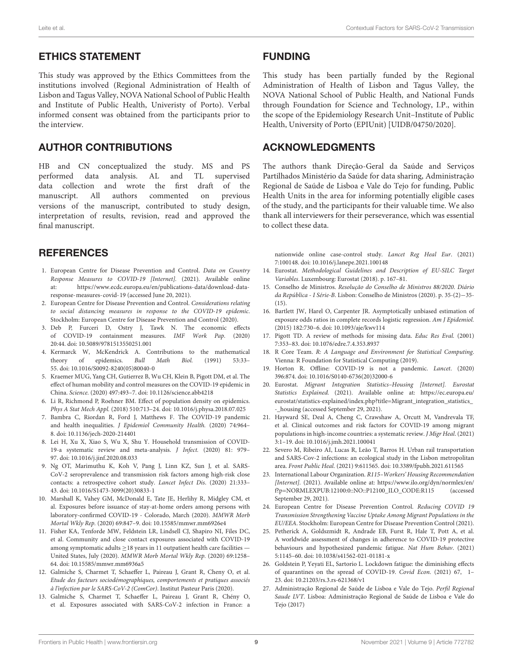#### ETHICS STATEMENT

This study was approved by the Ethics Committees from the institutions involved (Regional Administration of Health of Lisbon and Tagus Valley, NOVA National School of Public Health and Institute of Public Health, Univeristy of Porto). Verbal informed consent was obtained from the participants prior to the interview.

## AUTHOR CONTRIBUTIONS

HB and CN conceptualized the study. MS and PS performed data analysis. AL and TL supervised data collection and wrote the first draft of the manuscript. All authors commented on previous versions of the manuscript, contributed to study design, interpretation of results, revision, read and approved the final manuscript.

## **REFERENCES**

- <span id="page-8-0"></span>1. European Centre for Disease Prevention and Control. Data on Country Response Measures to COVID-19 [Internet]. (2021). Available online at: [https://www.ecdc.europa.eu/en/publications-data/download-data](https://www.ecdc.europa.eu/en/publications-data/download-data-response-measures-covid-19)[response-measures-covid-19](https://www.ecdc.europa.eu/en/publications-data/download-data-response-measures-covid-19) (accessed June 20, 2021).
- <span id="page-8-1"></span>2. European Centre for Disease Prevention and Control. Considerations relating to social distancing measures in response to the COVID-19 epidemic. Stockholm: European Centre for Disease Prevention and Control (2020).
- <span id="page-8-2"></span>3. Deb P, Furceri D, Ostry J, Tawk N. The economic effects of COVID-19 containment measures. IMF Work Pap. (2020) 20:44. doi: [10.5089/9781513550251.001](https://doi.org/10.5089/9781513550251.001)
- <span id="page-8-3"></span>4. Kermarck W, McKendrick A. Contributions to the mathematical theory of epidemics. *Bull Math Biol.* (1991) 53:33theory of epidemics. 55. doi: [10.1016/S0092-8240\(05\)80040-0](https://doi.org/10.1016/S0092-8240(05)80040-0)
- 5. Kraemer MUG, Yang CH, Gutierrez B, Wu CH, Klein B, Pigott DM, et al. The effect of human mobility and control measures on the COVID-19 epidemic in China. Science. (2020) 497:493–7. doi: [10.1126/science.abb4218](https://doi.org/10.1126/science.abb4218)
- 6. Li R, Richmond P, Roehner BM. Effect of population density on epidemics. Phys A Stat Mech Appl. (2018) 510:713–24. doi: [10.1016/j.physa.2018.07.025](https://doi.org/10.1016/j.physa.2018.07.025)
- <span id="page-8-4"></span>7. Bambra C, Riordan R, Ford J, Matthews F. The COVID-19 pandemic and health inequalities. J Epidemiol Community Health. (2020) 74:964– 8. doi: [10.1136/jech-2020-214401](https://doi.org/10.1136/jech-2020-214401)
- <span id="page-8-5"></span>8. Lei H, Xu X, Xiao S, Wu X, Shu Y. Household transmission of COVID-19-a systematic review and meta-analysis. J Infect. (2020) 81: 979– 97. doi: [10.1016/j.jinf.2020.08.033](https://doi.org/10.1016/j.jinf.2020.08.033)
- <span id="page-8-6"></span>9. Ng OT, Marimuthu K, Koh V, Pang J, Linn KZ, Sun J, et al. SARS-CoV-2 seroprevalence and transmission risk factors among high-risk close contacts: a retrospective cohort study. Lancet Infect Dis. (2020) 21:333– 43. doi: [10.1016/S1473-3099\(20\)30833-1](https://doi.org/10.1016/S1473-3099(20)30833-1)
- <span id="page-8-7"></span>10. Marshall K, Vahey GM, McDonald E, Tate JE, Herlihy R, Midgley CM, et al. Exposures before issuance of stay-at-home orders among persons with laboratory-confirmed COVID-19 - Colorado, March (2020). MMWR Morb Mortal Wkly Rep. (2020) 69:847–9. doi: [10.15585/mmwr.mm6926e4](https://doi.org/10.15585/mmwr.mm6926e4)
- <span id="page-8-8"></span>11. Fisher KA, Tenforde MW, Feldstein LR, Lindsell CJ, Shapiro NI, Files DC, et al. Community and close contact exposures associated with COVID-19 among symptomatic adults ≥18 years in 11 outpatient health care facilities — United States, July (2020). MMWR Morb Mortal Wkly Rep. (2020) 69:1258– 64. doi: [10.15585/mmwr.mm6936a5](https://doi.org/10.15585/mmwr.mm6936a5)
- <span id="page-8-9"></span>12. Galmiche S, Charmet T, Schaeffer L, Paireau J, Grant R, Cheny O, et al. Etude des facteurs sociodémographiques, comportements et pratiques associés à l'infection par le SARS-CoV-2 (ComCor). Institut Pasteur Paris (2020).
- <span id="page-8-10"></span>13. Galmiche S, Charmet T, Schaeffer L, Paireau J, Grant R, Chény O, et al. Exposures associated with SARS-CoV-2 infection in France: a

#### FUNDING

This study has been partially funded by the Regional Administration of Health of Lisbon and Tagus Valley, the NOVA National School of Public Health, and National Funds through Foundation for Science and Technology, I.P., within the scope of the Epidemiology Research Unit–Institute of Public Health, University of Porto (EPIUnit) [UIDB/04750/2020].

### ACKNOWLEDGMENTS

The authors thank Direção-Geral da Saúde and Serviços Partilhados Ministério da Saúde for data sharing, Administração Regional de Saúde de Lisboa e Vale do Tejo for funding, Public Health Units in the area for informing potentially eligible cases of the study, and the participants for their valuable time. We also thank all interviewers for their perseverance, which was essential to collect these data.

nationwide online case-control study. Lancet Reg Heal Eur. (2021) 7:100148. doi: [10.1016/j.lanepe.2021.100148](https://doi.org/10.1016/j.lanepe.2021.100148)

- <span id="page-8-11"></span>14. Eurostat. Methodological Guidelines and Description of EU-SILC Target Variables. Luxembourg: Eurostat (2018). p. 167–81.
- <span id="page-8-12"></span>15. Conselho de Ministros. Resolução do Conselho de Ministros 88/2020. Diário da República - I Série-B. Lisbon: Conselho de Ministros (2020). p. 35-(2)−35- (15).
- <span id="page-8-13"></span>16. Bartlett JW, Harel O, Carpenter JR. Asymptotically unbiased estimation of exposure odds ratios in complete records logistic regression. Am J Epidemiol. (2015) 182:730–6. doi: [10.1093/aje/kwv114](https://doi.org/10.1093/aje/kwv114)
- <span id="page-8-14"></span>17. Pigott TD. A review of methods for missing data. Educ Res Eval. (2001) 7:353–83. doi: [10.1076/edre.7.4.353.8937](https://doi.org/10.1076/edre.7.4.353.8937)
- <span id="page-8-15"></span>18. R Core Team. R: A Language and Environment for Statistical Computing. Vienna: R Foundation for Statistical Computing (2019).
- <span id="page-8-16"></span>19. Horton R. Offline: COVID-19 is not a pandemic. Lancet. (2020) 396:874. doi: [10.1016/S0140-6736\(20\)32000-6](https://doi.org/10.1016/S0140-6736(20)32000-6)
- <span id="page-8-17"></span>20. Eurostat. Migrant Integration Statistics–Housing [Internet]. Eurostat Statistics Explained. (2021). Available online at: [https://ec.europa.eu/](https://ec.europa.eu/eurostat/statistics-explained/index.php?title=Migrant_integration_statistics_-_housing) [eurostat/statistics-explained/index.php?title=Migrant\\_integration\\_statistics\\_](https://ec.europa.eu/eurostat/statistics-explained/index.php?title=Migrant_integration_statistics_-_housing) [-\\_housing](https://ec.europa.eu/eurostat/statistics-explained/index.php?title=Migrant_integration_statistics_-_housing) (accessed September 29, 2021).
- <span id="page-8-18"></span>21. Hayward SE, Deal A, Cheng C, Crawshaw A, Orcutt M, Vandrevala TF, et al. Clinical outcomes and risk factors for COVID-19 among migrant populations in high-income countries: a systematic review. J Migr Heal. (2021) 3:1–19. doi: [10.1016/j.jmh.2021.100041](https://doi.org/10.1016/j.jmh.2021.100041)
- <span id="page-8-19"></span>22. Severo M, Ribeiro AI, Lucas R, Leão T, Barros H. Urban rail transportation and SARS-Cov-2 infections: an ecological study in the Lisbon metropolitan area. Front Public Heal. (2021) 9:611565. doi: [10.3389/fpubh.2021.611565](https://doi.org/10.3389/fpubh.2021.611565)
- <span id="page-8-20"></span>23. International Labour Organization. R115–Workers' Housing Recommendation [Internet]. (2021). Available online at: [https://www.ilo.org/dyn/normlex/en/](https://www.ilo.org/dyn/normlex/en/f?p=NORMLEXPUB:12100:0::NO::P12100_ILO_CODE:R115) [f?p=NORMLEXPUB:12100:0::NO::P12100\\_ILO\\_CODE:R115](https://www.ilo.org/dyn/normlex/en/f?p=NORMLEXPUB:12100:0::NO::P12100_ILO_CODE:R115) (accessed September 29, 2021).
- <span id="page-8-21"></span>24. European Centre for Disease Prevention Control. Reducing COVID 19 Transmission Strengthening Vaccine Uptake Among Migrant Populations in the EU/EEA. Stockholm: European Centre for Disease Prevention Control (2021).
- <span id="page-8-22"></span>25. Petherick A, Goldszmidt R, Andrade EB, Furst R, Hale T, Pott A, et al. A worldwide assessment of changes in adherence to COVID-19 protective behaviours and hypothesized pandemic fatigue. Nat Hum Behav. (2021) 5:1145–60. doi: [10.1038/s41562-021-01181-x](https://doi.org/10.1038/s41562-021-01181-x)
- <span id="page-8-23"></span>26. Goldstein P, Yeyati EL, Sartorio L. Lockdown fatigue: the diminishing effects of quarantines on the spread of COVID-19. Covid Econ. (2021) 67, 1– 23. doi: [10.21203/rs.3.rs-621368/v1](https://doi.org/10.21203/rs.3.rs-621368/v1)
- <span id="page-8-24"></span>27. Administração Regional de Saúde de Lisboa e Vale do Tejo. Perfil Regional Saude LVT. Lisboa: Administração Regional de Saúde de Lisboa e Vale do Tejo (2017)